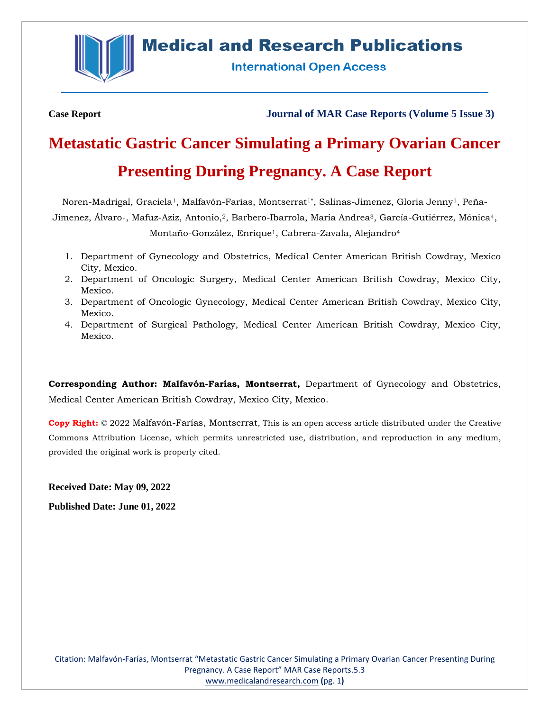

# **Medical and Research Publications**

**International Open Access** 

**Case Report Journal of MAR Case Reports (Volume 5 Issue 3)**

# **Metastatic Gastric Cancer Simulating a Primary Ovarian Cancer Presenting During Pregnancy. A Case Report**

Noren-Madrigal, Graciela<sup>1</sup>, Malfavón-Farías, Montserrat<sup>1\*</sup>, Salinas-Jimenez, Gloria Jenny<sup>1</sup>, Peña-Jimenez, Álvaro<sup>1</sup>, Mafuz-Aziz, Antonio,<sup>2</sup>, Barbero-Ibarrola, Maria Andrea<sup>3</sup>, García-Gutiérrez, Mónica<sup>4</sup>, Montaño-González, Enrique<sup>1</sup>, Cabrera-Zavala, Alejandro<sup>4</sup>

- 1. Department of Gynecology and Obstetrics, Medical Center American British Cowdray, Mexico City, Mexico.
- 2. Department of Oncologic Surgery, Medical Center American British Cowdray, Mexico City, Mexico.
- 3. Department of Oncologic Gynecology, Medical Center American British Cowdray, Mexico City, Mexico.
- 4. Department of Surgical Pathology, Medical Center American British Cowdray, Mexico City, Mexico.

**Corresponding Author: Malfavón-Farías, Montserrat,** Department of Gynecology and Obstetrics, Medical Center American British Cowdray, Mexico City, Mexico.

**Copy Right:** © 2022 Malfavón-Farías, Montserrat, This is an open access article distributed under the Creative Commons Attribution License, which permits unrestricted use, distribution, and reproduction in any medium, provided the original work is properly cited.

**Received Date: May 09, 2022**

**Published Date: June 01, 2022**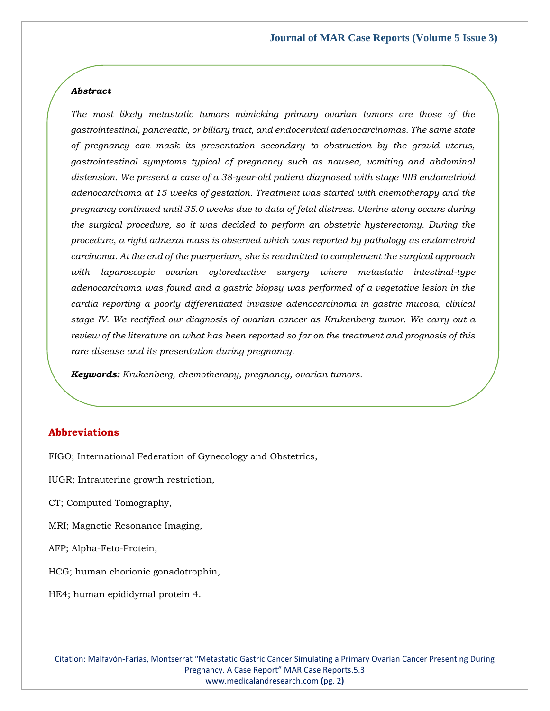#### *Abstract*

*The most likely metastatic tumors mimicking primary ovarian tumors are those of the gastrointestinal, pancreatic, or biliary tract, and endocervical adenocarcinomas. The same state of pregnancy can mask its presentation secondary to obstruction by the gravid uterus, gastrointestinal symptoms typical of pregnancy such as nausea, vomiting and abdominal distension. We present a case of a 38-year-old patient diagnosed with stage IIIB endometrioid adenocarcinoma at 15 weeks of gestation. Treatment was started with chemotherapy and the pregnancy continued until 35.0 weeks due to data of fetal distress. Uterine atony occurs during the surgical procedure, so it was decided to perform an obstetric hysterectomy. During the procedure, a right adnexal mass is observed which was reported by pathology as endometroid carcinoma. At the end of the puerperium, she is readmitted to complement the surgical approach with laparoscopic ovarian cytoreductive surgery where metastatic intestinal-type adenocarcinoma was found and a gastric biopsy was performed of a vegetative lesion in the cardia reporting a poorly differentiated invasive adenocarcinoma in gastric mucosa, clinical stage IV. We rectified our diagnosis of ovarian cancer as Krukenberg tumor. We carry out a review of the literature on what has been reported so far on the treatment and prognosis of this rare disease and its presentation during pregnancy.*

*Keywords: Krukenberg, chemotherapy, pregnancy, ovarian tumors.*

#### **Abbreviations**

FIGO; International Federation of Gynecology and Obstetrics,

- IUGR; Intrauterine growth restriction,
- CT; Computed Tomography,
- MRI; Magnetic Resonance Imaging,
- AFP; Alpha-Feto-Protein,
- HCG; human chorionic gonadotrophin,
- HE4; human epididymal protein 4.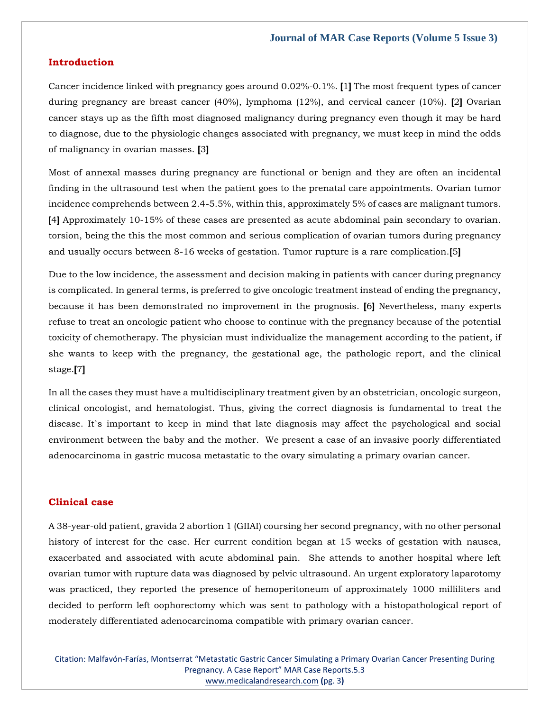#### **Introduction**

Cancer incidence linked with pregnancy goes around 0.02%-0.1%. **[**1**]** The most frequent types of cancer during pregnancy are breast cancer (40%), lymphoma (12%), and cervical cancer (10%). **[**2**]** Ovarian cancer stays up as the fifth most diagnosed malignancy during pregnancy even though it may be hard to diagnose, due to the physiologic changes associated with pregnancy, we must keep in mind the odds of malignancy in ovarian masses. **[**3**]**

Most of annexal masses during pregnancy are functional or benign and they are often an incidental finding in the ultrasound test when the patient goes to the prenatal care appointments. Ovarian tumor incidence comprehends between 2.4-5.5%, within this, approximately 5% of cases are malignant tumors. **[**4**]** Approximately 10-15% of these cases are presented as acute abdominal pain secondary to ovarian. torsion, being the this the most common and serious complication of ovarian tumors during pregnancy and usually occurs between 8-16 weeks of gestation. Tumor rupture is a rare complication.**[**5**]**

Due to the low incidence, the assessment and decision making in patients with cancer during pregnancy is complicated. In general terms, is preferred to give oncologic treatment instead of ending the pregnancy, because it has been demonstrated no improvement in the prognosis. **[**6**]** Nevertheless, many experts refuse to treat an oncologic patient who choose to continue with the pregnancy because of the potential toxicity of chemotherapy. The physician must individualize the management according to the patient, if she wants to keep with the pregnancy, the gestational age, the pathologic report, and the clinical stage.**[**7**]**

In all the cases they must have a multidisciplinary treatment given by an obstetrician, oncologic surgeon, clinical oncologist, and hematologist. Thus, giving the correct diagnosis is fundamental to treat the disease. It`s important to keep in mind that late diagnosis may affect the psychological and social environment between the baby and the mother. We present a case of an invasive poorly differentiated adenocarcinoma in gastric mucosa metastatic to the ovary simulating a primary ovarian cancer.

#### **Clinical case**

A 38-year-old patient, gravida 2 abortion 1 (GIIAI) coursing her second pregnancy, with no other personal history of interest for the case. Her current condition began at 15 weeks of gestation with nausea, exacerbated and associated with acute abdominal pain. She attends to another hospital where left ovarian tumor with rupture data was diagnosed by pelvic ultrasound. An urgent exploratory laparotomy was practiced, they reported the presence of hemoperitoneum of approximately 1000 milliliters and decided to perform left oophorectomy which was sent to pathology with a histopathological report of moderately differentiated adenocarcinoma compatible with primary ovarian cancer.

Citation: Malfavón-Farías, Montserrat "Metastatic Gastric Cancer Simulating a Primary Ovarian Cancer Presenting During Pregnancy. A Case Report" MAR Case Reports.5.3 [www.medicalandresearch.com](http://www.medicalandresearch.com/) **(**pg. 3**)**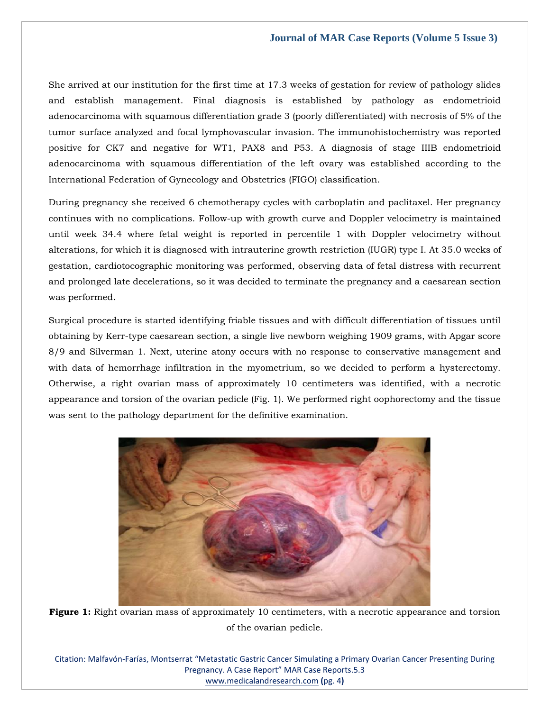She arrived at our institution for the first time at 17.3 weeks of gestation for review of pathology slides and establish management. Final diagnosis is established by pathology as endometrioid adenocarcinoma with squamous differentiation grade 3 (poorly differentiated) with necrosis of 5% of the tumor surface analyzed and focal lymphovascular invasion. The immunohistochemistry was reported positive for CK7 and negative for WT1, PAX8 and P53. A diagnosis of stage IIIB endometrioid adenocarcinoma with squamous differentiation of the left ovary was established according to the International Federation of Gynecology and Obstetrics (FIGO) classification.

During pregnancy she received 6 chemotherapy cycles with carboplatin and paclitaxel. Her pregnancy continues with no complications. Follow-up with growth curve and Doppler velocimetry is maintained until week 34.4 where fetal weight is reported in percentile 1 with Doppler velocimetry without alterations, for which it is diagnosed with intrauterine growth restriction (IUGR) type I. At 35.0 weeks of gestation, cardiotocographic monitoring was performed, observing data of fetal distress with recurrent and prolonged late decelerations, so it was decided to terminate the pregnancy and a caesarean section was performed.

Surgical procedure is started identifying friable tissues and with difficult differentiation of tissues until obtaining by Kerr-type caesarean section, a single live newborn weighing 1909 grams, with Apgar score 8/9 and Silverman 1. Next, uterine atony occurs with no response to conservative management and with data of hemorrhage infiltration in the myometrium, so we decided to perform a hysterectomy. Otherwise, a right ovarian mass of approximately 10 centimeters was identified, with a necrotic appearance and torsion of the ovarian pedicle (Fig. 1). We performed right oophorectomy and the tissue was sent to the pathology department for the definitive examination.



**Figure 1:** Right ovarian mass of approximately 10 centimeters, with a necrotic appearance and torsion of the ovarian pedicle.

Citation: Malfavón-Farías, Montserrat "Metastatic Gastric Cancer Simulating a Primary Ovarian Cancer Presenting During Pregnancy. A Case Report" MAR Case Reports.5.3 [www.medicalandresearch.com](http://www.medicalandresearch.com/) **(**pg. 4**)**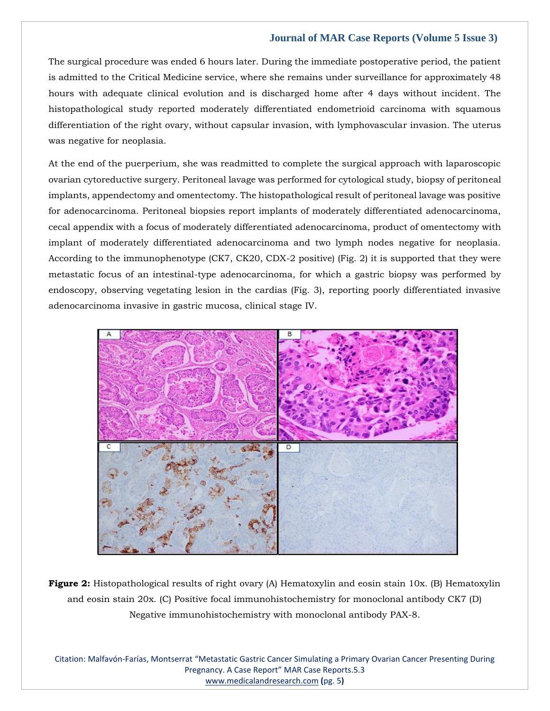The surgical procedure was ended 6 hours later. During the immediate postoperative period, the patient is admitted to the Critical Medicine service, where she remains under surveillance for approximately 48 hours with adequate clinical evolution and is discharged home after 4 days without incident. The histopathological study reported moderately differentiated endometrioid carcinoma with squamous differentiation of the right ovary, without capsular invasion, with lymphovascular invasion. The uterus was negative for neoplasia.

At the end of the puerperium, she was readmitted to complete the surgical approach with laparoscopic ovarian cytoreductive surgery. Peritoneal lavage was performed for cytological study, biopsy of peritoneal implants, appendectomy and omentectomy. The histopathological result of peritoneal lavage was positive for adenocarcinoma. Peritoneal biopsies report implants of moderately differentiated adenocarcinoma, cecal appendix with a focus of moderately differentiated adenocarcinoma, product of omentectomy with implant of moderately differentiated adenocarcinoma and two lymph nodes negative for neoplasia. According to the immunophenotype (CK7, CK20, CDX-2 positive) (Fig. 2) it is supported that they were metastatic focus of an intestinal-type adenocarcinoma, for which a gastric biopsy was performed by endoscopy, observing vegetating lesion in the cardias (Fig. 3), reporting poorly differentiated invasive adenocarcinoma invasive in gastric mucosa, clinical stage IV.



**Figure 2:** Histopathological results of right ovary (A) Hematoxylin and eosin stain 10x. (B) Hematoxylin and eosin stain 20x. (C) Positive focal immunohistochemistry for monoclonal antibody CK7 (D) Negative immunohistochemistry with monoclonal antibody PAX-8.

Citation: Malfavón-Farías, Montserrat "Metastatic Gastric Cancer Simulating a Primary Ovarian Cancer Presenting During Pregnancy. A Case Report" MAR Case Reports.5.3 [www.medicalandresearch.com](http://www.medicalandresearch.com/) **(**pg. 5**)**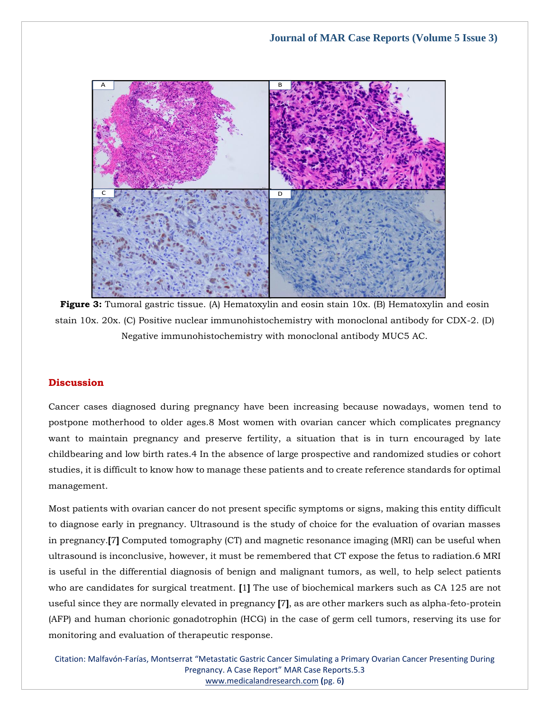

**Figure 3:** Tumoral gastric tissue. (A) Hematoxylin and eosin stain 10x. (B) Hematoxylin and eosin stain 10x. 20x. (C) Positive nuclear immunohistochemistry with monoclonal antibody for CDX-2. (D) Negative immunohistochemistry with monoclonal antibody MUC5 AC.

# **Discussion**

Cancer cases diagnosed during pregnancy have been increasing because nowadays, women tend to postpone motherhood to older ages.8 Most women with ovarian cancer which complicates pregnancy want to maintain pregnancy and preserve fertility, a situation that is in turn encouraged by late childbearing and low birth rates.4 In the absence of large prospective and randomized studies or cohort studies, it is difficult to know how to manage these patients and to create reference standards for optimal management.

Most patients with ovarian cancer do not present specific symptoms or signs, making this entity difficult to diagnose early in pregnancy. Ultrasound is the study of choice for the evaluation of ovarian masses in pregnancy.**[**7**]** Computed tomography (CT) and magnetic resonance imaging (MRI) can be useful when ultrasound is inconclusive, however, it must be remembered that CT expose the fetus to radiation.6 MRI is useful in the differential diagnosis of benign and malignant tumors, as well, to help select patients who are candidates for surgical treatment. **[**1**]** The use of biochemical markers such as CA 125 are not useful since they are normally elevated in pregnancy **[**7**]**, as are other markers such as alpha-feto-protein (AFP) and human chorionic gonadotrophin (HCG) in the case of germ cell tumors, reserving its use for monitoring and evaluation of therapeutic response.

Citation: Malfavón-Farías, Montserrat "Metastatic Gastric Cancer Simulating a Primary Ovarian Cancer Presenting During Pregnancy. A Case Report" MAR Case Reports.5.3 [www.medicalandresearch.com](http://www.medicalandresearch.com/) **(**pg. 6**)**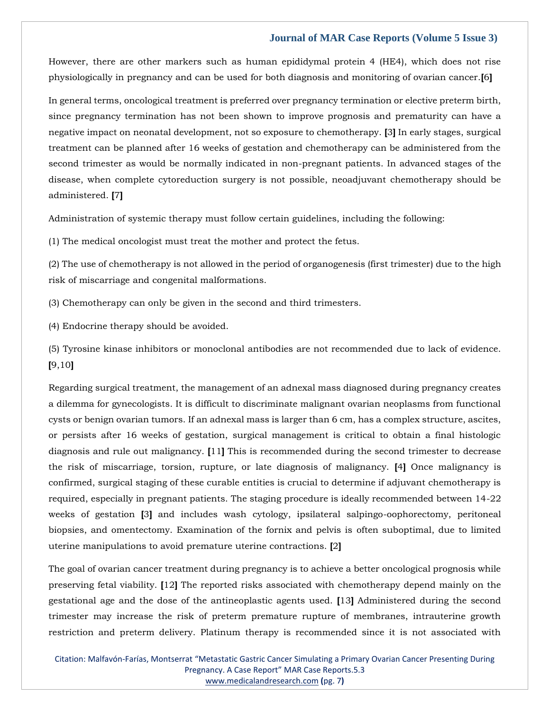However, there are other markers such as human epididymal protein 4 (HE4), which does not rise physiologically in pregnancy and can be used for both diagnosis and monitoring of ovarian cancer.**[**6**]**

In general terms, oncological treatment is preferred over pregnancy termination or elective preterm birth, since pregnancy termination has not been shown to improve prognosis and prematurity can have a negative impact on neonatal development, not so exposure to chemotherapy. **[**3**]** In early stages, surgical treatment can be planned after 16 weeks of gestation and chemotherapy can be administered from the second trimester as would be normally indicated in non-pregnant patients. In advanced stages of the disease, when complete cytoreduction surgery is not possible, neoadjuvant chemotherapy should be administered. **[**7**]**

Administration of systemic therapy must follow certain guidelines, including the following:

(1) The medical oncologist must treat the mother and protect the fetus.

(2) The use of chemotherapy is not allowed in the period of organogenesis (first trimester) due to the high risk of miscarriage and congenital malformations.

(3) Chemotherapy can only be given in the second and third trimesters.

(4) Endocrine therapy should be avoided.

(5) Tyrosine kinase inhibitors or monoclonal antibodies are not recommended due to lack of evidence. **[**9,10**]**

Regarding surgical treatment, the management of an adnexal mass diagnosed during pregnancy creates a dilemma for gynecologists. It is difficult to discriminate malignant ovarian neoplasms from functional cysts or benign ovarian tumors. If an adnexal mass is larger than 6 cm, has a complex structure, ascites, or persists after 16 weeks of gestation, surgical management is critical to obtain a final histologic diagnosis and rule out malignancy. **[**11**]** This is recommended during the second trimester to decrease the risk of miscarriage, torsion, rupture, or late diagnosis of malignancy. **[**4**]** Once malignancy is confirmed, surgical staging of these curable entities is crucial to determine if adjuvant chemotherapy is required, especially in pregnant patients. The staging procedure is ideally recommended between 14-22 weeks of gestation **[**3**]** and includes wash cytology, ipsilateral salpingo-oophorectomy, peritoneal biopsies, and omentectomy. Examination of the fornix and pelvis is often suboptimal, due to limited uterine manipulations to avoid premature uterine contractions. **[**2**]**

The goal of ovarian cancer treatment during pregnancy is to achieve a better oncological prognosis while preserving fetal viability. **[**12**]** The reported risks associated with chemotherapy depend mainly on the gestational age and the dose of the antineoplastic agents used. **[**13**]** Administered during the second trimester may increase the risk of preterm premature rupture of membranes, intrauterine growth restriction and preterm delivery. Platinum therapy is recommended since it is not associated with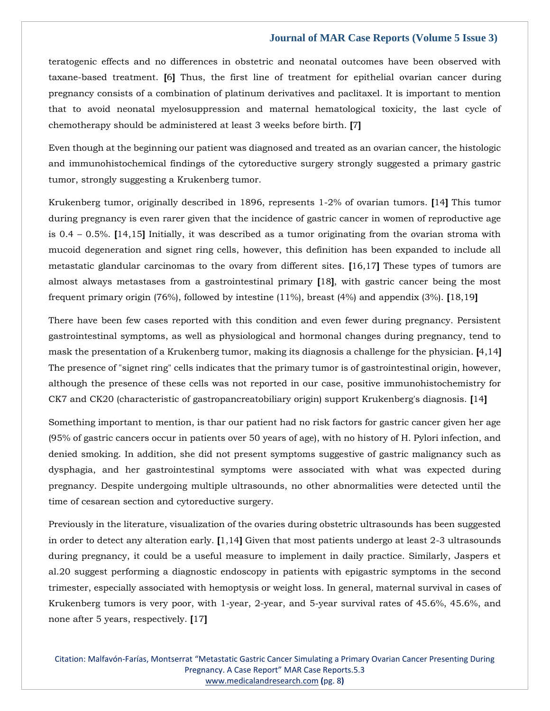teratogenic effects and no differences in obstetric and neonatal outcomes have been observed with taxane-based treatment. **[**6**]** Thus, the first line of treatment for epithelial ovarian cancer during pregnancy consists of a combination of platinum derivatives and paclitaxel. It is important to mention that to avoid neonatal myelosuppression and maternal hematological toxicity, the last cycle of chemotherapy should be administered at least 3 weeks before birth. **[**7**]**

Even though at the beginning our patient was diagnosed and treated as an ovarian cancer, the histologic and immunohistochemical findings of the cytoreductive surgery strongly suggested a primary gastric tumor, strongly suggesting a Krukenberg tumor.

Krukenberg tumor, originally described in 1896, represents 1-2% of ovarian tumors. **[**14**]** This tumor during pregnancy is even rarer given that the incidence of gastric cancer in women of reproductive age is 0.4 – 0.5%. **[**14,15**]** Initially, it was described as a tumor originating from the ovarian stroma with mucoid degeneration and signet ring cells, however, this definition has been expanded to include all metastatic glandular carcinomas to the ovary from different sites. **[**16,17**]** These types of tumors are almost always metastases from a gastrointestinal primary **[**18**]**, with gastric cancer being the most frequent primary origin (76%), followed by intestine (11%), breast (4%) and appendix (3%). **[**18,19**]**

There have been few cases reported with this condition and even fewer during pregnancy. Persistent gastrointestinal symptoms, as well as physiological and hormonal changes during pregnancy, tend to mask the presentation of a Krukenberg tumor, making its diagnosis a challenge for the physician. **[**4,14**]** The presence of "signet ring" cells indicates that the primary tumor is of gastrointestinal origin, however, although the presence of these cells was not reported in our case, positive immunohistochemistry for CK7 and CK20 (characteristic of gastropancreatobiliary origin) support Krukenberg's diagnosis. **[**14**]**

Something important to mention, is thar our patient had no risk factors for gastric cancer given her age (95% of gastric cancers occur in patients over 50 years of age), with no history of H. Pylori infection, and denied smoking. In addition, she did not present symptoms suggestive of gastric malignancy such as dysphagia, and her gastrointestinal symptoms were associated with what was expected during pregnancy. Despite undergoing multiple ultrasounds, no other abnormalities were detected until the time of cesarean section and cytoreductive surgery.

Previously in the literature, visualization of the ovaries during obstetric ultrasounds has been suggested in order to detect any alteration early. **[**1,14**]** Given that most patients undergo at least 2-3 ultrasounds during pregnancy, it could be a useful measure to implement in daily practice. Similarly, Jaspers et al.20 suggest performing a diagnostic endoscopy in patients with epigastric symptoms in the second trimester, especially associated with hemoptysis or weight loss. In general, maternal survival in cases of Krukenberg tumors is very poor, with 1-year, 2-year, and 5-year survival rates of 45.6%, 45.6%, and none after 5 years, respectively. **[**17**]**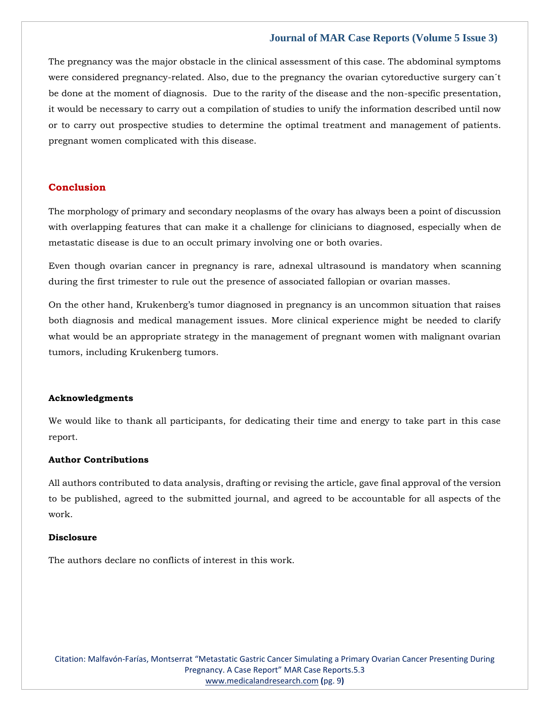The pregnancy was the major obstacle in the clinical assessment of this case. The abdominal symptoms were considered pregnancy-related. Also, due to the pregnancy the ovarian cytoreductive surgery can´t be done at the moment of diagnosis. Due to the rarity of the disease and the non-specific presentation, it would be necessary to carry out a compilation of studies to unify the information described until now or to carry out prospective studies to determine the optimal treatment and management of patients. pregnant women complicated with this disease.

### **Conclusion**

The morphology of primary and secondary neoplasms of the ovary has always been a point of discussion with overlapping features that can make it a challenge for clinicians to diagnosed, especially when de metastatic disease is due to an occult primary involving one or both ovaries.

Even though ovarian cancer in pregnancy is rare, adnexal ultrasound is mandatory when scanning during the first trimester to rule out the presence of associated fallopian or ovarian masses.

On the other hand, Krukenberg's tumor diagnosed in pregnancy is an uncommon situation that raises both diagnosis and medical management issues. More clinical experience might be needed to clarify what would be an appropriate strategy in the management of pregnant women with malignant ovarian tumors, including Krukenberg tumors.

#### **Acknowledgments**

We would like to thank all participants, for dedicating their time and energy to take part in this case report.

#### **Author Contributions**

All authors contributed to data analysis, drafting or revising the article, gave final approval of the version to be published, agreed to the submitted journal, and agreed to be accountable for all aspects of the work.

#### **Disclosure**

The authors declare no conflicts of interest in this work.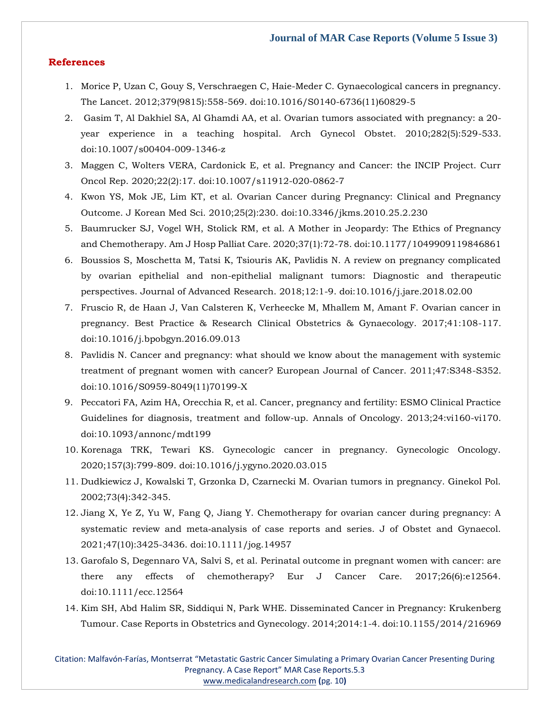### **References**

- 1. Morice P, Uzan C, Gouy S, Verschraegen C, Haie-Meder C. Gynaecological cancers in pregnancy. The Lancet. 2012;379(9815):558-569. doi:10.1016/S0140-6736(11)60829-5
- 2. Gasim T, Al Dakhiel SA, Al Ghamdi AA, et al. Ovarian tumors associated with pregnancy: a 20 year experience in a teaching hospital. Arch Gynecol Obstet. 2010;282(5):529-533. doi:10.1007/s00404-009-1346-z
- 3. Maggen C, Wolters VERA, Cardonick E, et al. Pregnancy and Cancer: the INCIP Project. Curr Oncol Rep. 2020;22(2):17. doi:10.1007/s11912-020-0862-7
- 4. Kwon YS, Mok JE, Lim KT, et al. Ovarian Cancer during Pregnancy: Clinical and Pregnancy Outcome. J Korean Med Sci. 2010;25(2):230. doi:10.3346/jkms.2010.25.2.230
- 5. Baumrucker SJ, Vogel WH, Stolick RM, et al. A Mother in Jeopardy: The Ethics of Pregnancy and Chemotherapy. Am J Hosp Palliat Care. 2020;37(1):72-78. doi:10.1177/1049909119846861
- 6. Boussios S, Moschetta M, Tatsi K, Tsiouris AK, Pavlidis N. A review on pregnancy complicated by ovarian epithelial and non-epithelial malignant tumors: Diagnostic and therapeutic perspectives. Journal of Advanced Research. 2018;12:1-9. doi:10.1016/j.jare.2018.02.00
- 7. Fruscio R, de Haan J, Van Calsteren K, Verheecke M, Mhallem M, Amant F. Ovarian cancer in pregnancy. Best Practice & Research Clinical Obstetrics & Gynaecology. 2017;41:108-117. doi:10.1016/j.bpobgyn.2016.09.013
- 8. Pavlidis N. Cancer and pregnancy: what should we know about the management with systemic treatment of pregnant women with cancer? European Journal of Cancer. 2011;47:S348-S352. doi:10.1016/S0959-8049(11)70199-X
- 9. Peccatori FA, Azim HA, Orecchia R, et al. Cancer, pregnancy and fertility: ESMO Clinical Practice Guidelines for diagnosis, treatment and follow-up. Annals of Oncology. 2013;24:vi160-vi170. doi:10.1093/annonc/mdt199
- 10. Korenaga TRK, Tewari KS. Gynecologic cancer in pregnancy. Gynecologic Oncology. 2020;157(3):799-809. doi:10.1016/j.ygyno.2020.03.015
- 11. Dudkiewicz J, Kowalski T, Grzonka D, Czarnecki M. Ovarian tumors in pregnancy. Ginekol Pol. 2002;73(4):342-345.
- 12. Jiang X, Ye Z, Yu W, Fang Q, Jiang Y. Chemotherapy for ovarian cancer during pregnancy: A systematic review and meta‐analysis of case reports and series. J of Obstet and Gynaecol. 2021;47(10):3425-3436. doi:10.1111/jog.14957
- 13. Garofalo S, Degennaro VA, Salvi S, et al. Perinatal outcome in pregnant women with cancer: are there any effects of chemotherapy? Eur J Cancer Care. 2017;26(6):e12564. doi:10.1111/ecc.12564
- 14. Kim SH, Abd Halim SR, Siddiqui N, Park WHE. Disseminated Cancer in Pregnancy: Krukenberg Tumour. Case Reports in Obstetrics and Gynecology. 2014;2014:1-4. doi:10.1155/2014/216969